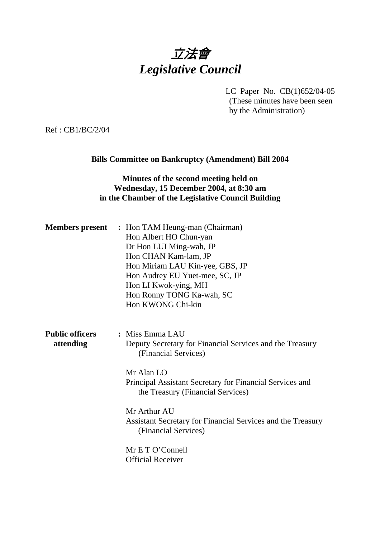# 立法會 *Legislative Council*

LC Paper No. CB(1)652/04-05 (These minutes have been seen by the Administration)

Ref : CB1/BC/2/04

### **Bills Committee on Bankruptcy (Amendment) Bill 2004**

## **Minutes of the second meeting held on Wednesday, 15 December 2004, at 8:30 am in the Chamber of the Legislative Council Building**

| <b>Members present</b>              | : Hon TAM Heung-man (Chairman)<br>Hon Albert HO Chun-yan<br>Dr Hon LUI Ming-wah, JP<br>Hon CHAN Kam-lam, JP<br>Hon Miriam LAU Kin-yee, GBS, JP<br>Hon Audrey EU Yuet-mee, SC, JP<br>Hon LI Kwok-ying, MH<br>Hon Ronny TONG Ka-wah, SC<br>Hon KWONG Chi-kin |
|-------------------------------------|------------------------------------------------------------------------------------------------------------------------------------------------------------------------------------------------------------------------------------------------------------|
| <b>Public officers</b><br>attending | : Miss Emma LAU<br>Deputy Secretary for Financial Services and the Treasury<br>(Financial Services)<br>Mr Alan LO<br>Principal Assistant Secretary for Financial Services and<br>the Treasury (Financial Services)                                         |
|                                     | Mr Arthur AU<br>Assistant Secretary for Financial Services and the Treasury<br>(Financial Services)                                                                                                                                                        |
|                                     | Mr E T O'Connell<br><b>Official Receiver</b>                                                                                                                                                                                                               |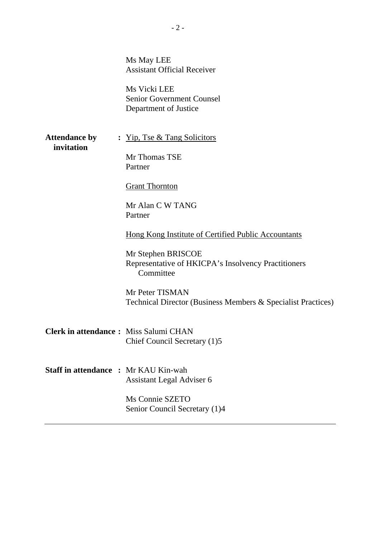|                      | Ms May LEE<br><b>Assistant Official Receiver</b><br>Ms Vicki LEE<br><b>Senior Government Counsel</b><br>Department of Justice |
|----------------------|-------------------------------------------------------------------------------------------------------------------------------|
| <b>Attendance by</b> | : <u>Yip, Tse &amp; Tang Solicitors</u>                                                                                       |
| invitation           | Mr Thomas TSE<br>Partner                                                                                                      |
|                      | <b>Grant Thornton</b>                                                                                                         |
|                      | Mr Alan C W TANG<br>Partner                                                                                                   |
|                      | Hong Kong Institute of Certified Public Accountants                                                                           |
|                      | Mr Stephen BRISCOE<br>Representative of HKICPA's Insolvency Practitioners<br>Committee                                        |
|                      | Mr Peter TISMAN<br>Technical Director (Business Members & Specialist Practices)                                               |
|                      | Clerk in attendance: Miss Salumi CHAN<br>Chief Council Secretary (1)5                                                         |
|                      | <b>Staff in attendance : Mr KAU Kin-wah</b><br>Assistant Legal Adviser 6                                                      |
|                      | Ms Connie SZETO<br>Senior Council Secretary (1)4                                                                              |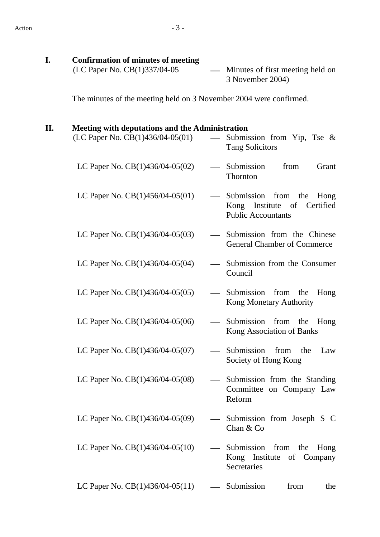| I. | <b>Confirmation of minutes of meeting</b>                                                  |                 |                                                                                            |
|----|--------------------------------------------------------------------------------------------|-----------------|--------------------------------------------------------------------------------------------|
|    | (LC Paper No. CB(1)337/04-05                                                               |                 | Minutes of first meeting held on<br>3 November 2004)                                       |
|    | The minutes of the meeting held on 3 November 2004 were confirmed.                         |                 |                                                                                            |
| П. | <b>Meeting with deputations and the Administration</b><br>(LC Paper No. CB(1)436/04-05(01) |                 | Submission from Yip, Tse $\&$                                                              |
|    |                                                                                            |                 | <b>Tang Solicitors</b>                                                                     |
|    | LC Paper No. CB(1)436/04-05(02)                                                            |                 | Submission<br>from<br>Grant<br>Thornton                                                    |
|    | LC Paper No. $CB(1)456/04-05(01)$                                                          | $\qquad \qquad$ | Submission from the<br>Hong<br>Certified<br>Kong Institute of<br><b>Public Accountants</b> |
|    | LC Paper No. CB(1)436/04-05(03)                                                            |                 | - Submission from the Chinese<br><b>General Chamber of Commerce</b>                        |
|    | LC Paper No. CB(1)436/04-05(04)                                                            |                 | Submission from the Consumer<br>Council                                                    |
|    | LC Paper No. CB(1)436/04-05(05)                                                            |                 | Submission from the<br>Hong<br>Kong Monetary Authority                                     |
|    | LC Paper No. $CB(1)436/04-05(06)$                                                          |                 | Submission from<br>the<br>Hong<br>Kong Association of Banks                                |
|    | LC Paper No. $CB(1)436/04-05(07)$                                                          |                 | Submission<br>from<br>the<br>Law<br>Society of Hong Kong                                   |
|    | LC Paper No. CB(1)436/04-05(08)                                                            |                 | Submission from the Standing<br>Committee on Company Law<br>Reform                         |
|    | LC Paper No. $CB(1)436/04-05(09)$                                                          |                 | Submission from Joseph S C<br>Chan & Co                                                    |
|    | LC Paper No. $CB(1)436/04-05(10)$                                                          |                 | Submission from the<br>Hong<br>Kong Institute of Company<br>Secretaries                    |
|    | LC Paper No. $CB(1)436/04-05(11)$                                                          |                 | from<br>Submission<br>the                                                                  |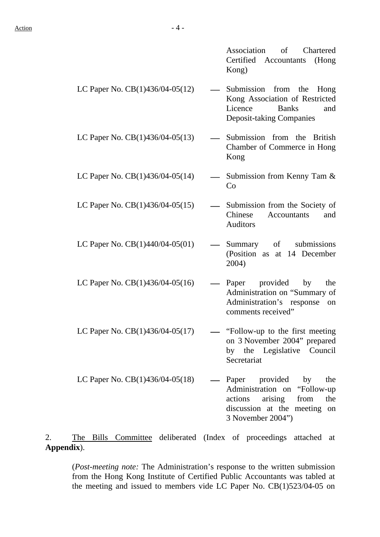Association of Chartered Certified Accountants (Hong Kong)

- LC Paper No.  $CB(1)436/04-05(12)$  Submission from the Hong Kong Association of Restricted Licence Banks and Deposit-taking Companies
- LC Paper No.  $CB(1)436/04-05(13)$   $\qquad$  Submission from the British Chamber of Commerce in Hong Kong
- LC Paper No. CB(1)436/04-05(14)  $\qquad \qquad$  Submission from Kenny Tam &  $Co$
- LC Paper No.  $CB(1)436/04-05(15)$  Submission from the Society of Chinese Accountants and
- LC Paper No.  $CB(1)440/04-05(01)$  Summary of submissions (Position as at 14 December
- LC Paper No.  $CB(1)436/04-05(16)$  Paper provided by the
	- Administration on "Summary of Administration's response on comments received"

Auditors

2004)

- LC Paper No.  $CB(1)436/04-05(17)$  "Follow-up to the first meeting on 3 November 2004" prepared by the Legislative Council Secretariat
- LC Paper No.  $CB(1)436/04-05(18)$  Paper provided by the Administration on "Follow-up actions arising from the discussion at the meeting on 3 November 2004")

2. The Bills Committee deliberated (Index of proceedings attached at **Appendix**).

(*Post-meeting note:* The Administration's response to the written submission from the Hong Kong Institute of Certified Public Accountants was tabled at the meeting and issued to members vide LC Paper No. CB(1)523/04-05 on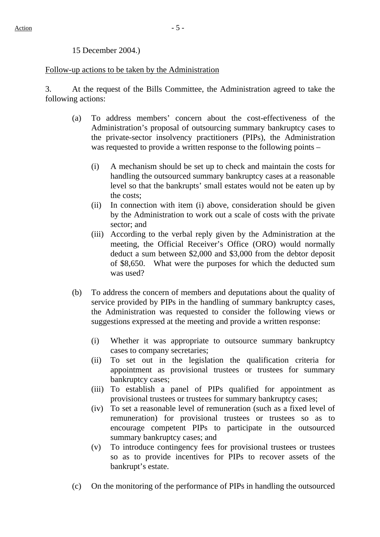#### 15 December 2004.)

#### Follow-up actions to be taken by the Administration

3. At the request of the Bills Committee, the Administration agreed to take the following actions:

- (a) To address members' concern about the cost-effectiveness of the Administration's proposal of outsourcing summary bankruptcy cases to the private-sector insolvency practitioners (PIPs), the Administration was requested to provide a written response to the following points –
	- (i) A mechanism should be set up to check and maintain the costs for handling the outsourced summary bankruptcy cases at a reasonable level so that the bankrupts' small estates would not be eaten up by the costs;
	- (ii) In connection with item (i) above, consideration should be given by the Administration to work out a scale of costs with the private sector; and
	- (iii) According to the verbal reply given by the Administration at the meeting, the Official Receiver's Office (ORO) would normally deduct a sum between \$2,000 and \$3,000 from the debtor deposit of \$8,650. What were the purposes for which the deducted sum was used?
- (b) To address the concern of members and deputations about the quality of service provided by PIPs in the handling of summary bankruptcy cases, the Administration was requested to consider the following views or suggestions expressed at the meeting and provide a written response:
	- (i) Whether it was appropriate to outsource summary bankruptcy cases to company secretaries;
	- (ii) To set out in the legislation the qualification criteria for appointment as provisional trustees or trustees for summary bankruptcy cases;
	- (iii) To establish a panel of PIPs qualified for appointment as provisional trustees or trustees for summary bankruptcy cases;
	- (iv) To set a reasonable level of remuneration (such as a fixed level of remuneration) for provisional trustees or trustees so as to encourage competent PIPs to participate in the outsourced summary bankruptcy cases; and
	- (v) To introduce contingency fees for provisional trustees or trustees so as to provide incentives for PIPs to recover assets of the bankrupt's estate.
- (c) On the monitoring of the performance of PIPs in handling the outsourced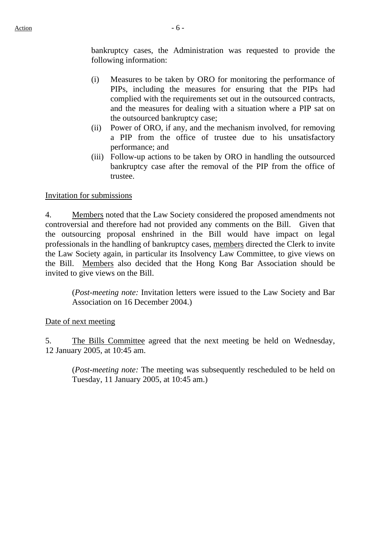bankruptcy cases, the Administration was requested to provide the following information:

- (i) Measures to be taken by ORO for monitoring the performance of PIPs, including the measures for ensuring that the PIPs had complied with the requirements set out in the outsourced contracts, and the measures for dealing with a situation where a PIP sat on the outsourced bankruptcy case;
- (ii) Power of ORO, if any, and the mechanism involved, for removing a PIP from the office of trustee due to his unsatisfactory performance; and
- (iii) Follow-up actions to be taken by ORO in handling the outsourced bankruptcy case after the removal of the PIP from the office of trustee.

#### Invitation for submissions

4. Members noted that the Law Society considered the proposed amendments not controversial and therefore had not provided any comments on the Bill. Given that the outsourcing proposal enshrined in the Bill would have impact on legal professionals in the handling of bankruptcy cases, members directed the Clerk to invite the Law Society again, in particular its Insolvency Law Committee, to give views on the Bill. Members also decided that the Hong Kong Bar Association should be invited to give views on the Bill.

(*Post-meeting note:* Invitation letters were issued to the Law Society and Bar Association on 16 December 2004.)

#### Date of next meeting

5. The Bills Committee agreed that the next meeting be held on Wednesday, 12 January 2005, at 10:45 am.

(*Post-meeting note:* The meeting was subsequently rescheduled to be held on Tuesday, 11 January 2005, at 10:45 am.)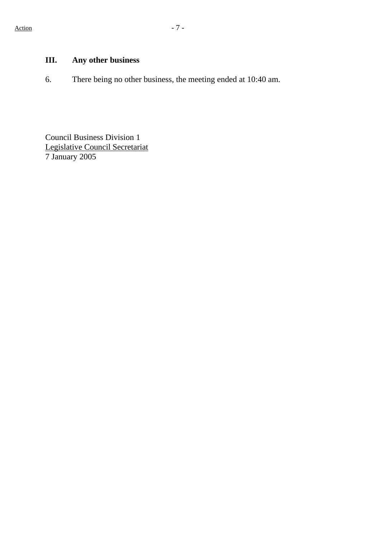# **III. Any other business**

6. There being no other business, the meeting ended at 10:40 am.

Council Business Division 1 Legislative Council Secretariat 7 January 2005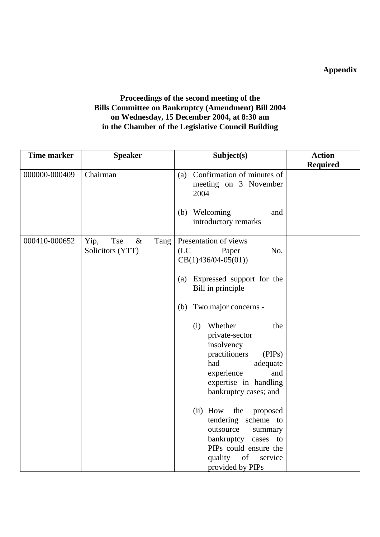# **Appendix**

## **Proceedings of the second meeting of the Bills Committee on Bankruptcy (Amendment) Bill 2004 on Wednesday, 15 December 2004, at 8:30 am in the Chamber of the Legislative Council Building**

| <b>Time marker</b> | <b>Speaker</b>                                  | Subject(s)                                                                                                                                                                 | <b>Action</b>   |
|--------------------|-------------------------------------------------|----------------------------------------------------------------------------------------------------------------------------------------------------------------------------|-----------------|
| 000000-000409      | Chairman                                        | Confirmation of minutes of                                                                                                                                                 | <b>Required</b> |
|                    |                                                 | (a)<br>meeting on 3 November<br>2004                                                                                                                                       |                 |
|                    |                                                 | Welcoming<br>(b)<br>and<br>introductory remarks                                                                                                                            |                 |
| 000410-000652      | Yip,<br>Tse<br>$\&$<br>Tang<br>Solicitors (YTT) | Presentation of views<br>(LC)<br>No.<br>Paper<br>$CB(1)436/04-05(01))$                                                                                                     |                 |
|                    |                                                 | (a) Expressed support for the<br>Bill in principle                                                                                                                         |                 |
|                    |                                                 | Two major concerns -<br>(b)                                                                                                                                                |                 |
|                    |                                                 | Whether<br>(i)<br>the<br>private-sector<br>insolvency<br>practitioners<br>(PIPs)<br>had<br>adequate<br>experience<br>and<br>expertise in handling<br>bankruptcy cases; and |                 |
|                    |                                                 | (ii) How<br>the<br>proposed<br>tendering scheme to<br>outsource<br>summary<br>bankruptcy cases to<br>PIPs could ensure the<br>quality<br>of<br>service<br>provided by PIPs |                 |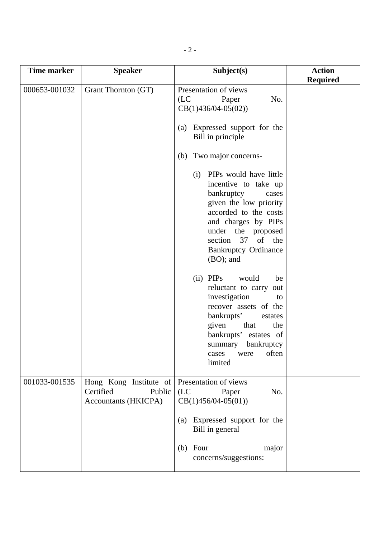| <b>Time marker</b> | <b>Speaker</b>                                                               | Subject(s)                                                                                                                                                                                                                                                                                                                                                                                                              | <b>Action</b><br><b>Required</b> |
|--------------------|------------------------------------------------------------------------------|-------------------------------------------------------------------------------------------------------------------------------------------------------------------------------------------------------------------------------------------------------------------------------------------------------------------------------------------------------------------------------------------------------------------------|----------------------------------|
| 000653-001032      | Grant Thornton (GT)                                                          | Presentation of views<br>(LC)<br>No.<br>Paper<br>$CB(1)436/04-05(02))$<br>Expressed support for the<br>(a)<br>Bill in principle<br>Two major concerns-<br>(b)<br>PIPs would have little<br>(i)<br>incentive to take up<br>bankruptcy<br>cases<br>given the low priority<br>accorded to the costs<br>and charges by PIPs<br>under the proposed<br>37<br>of the<br>section<br><b>Bankruptcy Ordinance</b><br>$(BO)$ ; and |                                  |
|                    |                                                                              | (ii) PIPs<br>would<br>be<br>reluctant to carry<br>out<br>investigation<br>to<br>recover assets of the<br>bankrupts'<br>estates<br>given<br>that<br>the<br>bankrupts' estates of<br>bankruptcy<br>summary<br>often<br>cases<br>were<br>limited                                                                                                                                                                           |                                  |
| 001033-001535      | Hong Kong Institute of<br>Certified<br>Public<br><b>Accountants (HKICPA)</b> | Presentation of views<br>(LC)<br>No.<br>Paper<br>$CB(1)456/04-05(01))$<br>Expressed support for the<br>(a)<br>Bill in general<br>$(b)$ Four<br>major<br>concerns/suggestions:                                                                                                                                                                                                                                           |                                  |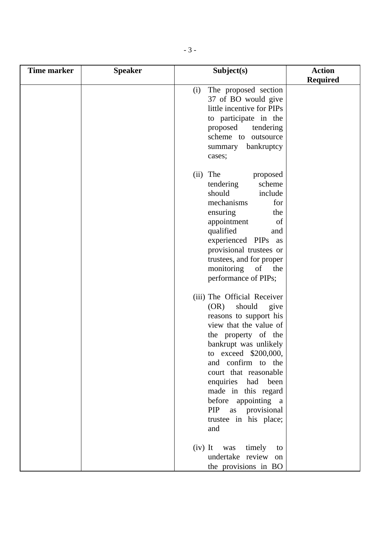| <b>Time marker</b> | <b>Speaker</b> | Subject(s)                                                                                                                                                                                                                                                                                                                                                 | <b>Action</b>   |
|--------------------|----------------|------------------------------------------------------------------------------------------------------------------------------------------------------------------------------------------------------------------------------------------------------------------------------------------------------------------------------------------------------------|-----------------|
|                    |                |                                                                                                                                                                                                                                                                                                                                                            | <b>Required</b> |
|                    |                | The proposed section<br>(i)<br>37 of BO would give<br>little incentive for PIPs<br>to participate in the<br>proposed<br>tendering<br>scheme to outsource<br>bankruptcy<br>summary<br>cases;                                                                                                                                                                |                 |
|                    |                | $(ii)$ The<br>proposed<br>scheme<br>tendering<br>include<br>should<br>mechanisms<br>for<br>ensuring<br>the<br>appointment<br>of<br>qualified<br>and<br>experienced PIPs as<br>provisional trustees or<br>trustees, and for proper<br>monitoring<br>of<br>the<br>performance of PIPs;                                                                       |                 |
|                    |                | (iii) The Official Receiver<br>should<br>(OR)<br>give<br>reasons to support his<br>view that the value of<br>the property of the<br>bankrupt was unlikely<br>to exceed \$200,000,<br>and confirm to the<br>court that reasonable<br>enquiries had been<br>made in this regard<br>before appointing a<br>PIP as provisional<br>trustee in his place;<br>and |                 |
|                    |                | $(iv)$ It<br>timely<br>was<br>to<br>undertake review on<br>the provisions in BO                                                                                                                                                                                                                                                                            |                 |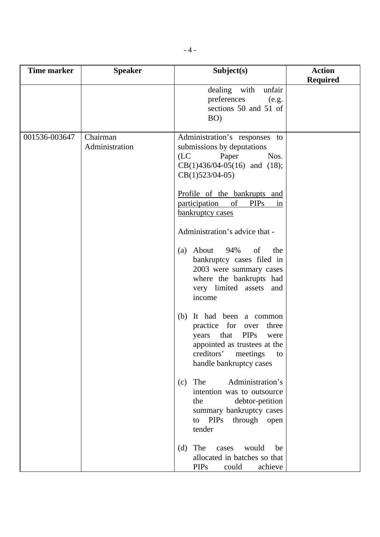| <b>Time marker</b> | <b>Speaker</b>             | Subject(s)                                                                                                                                                                   | <b>Action</b><br><b>Required</b> |
|--------------------|----------------------------|------------------------------------------------------------------------------------------------------------------------------------------------------------------------------|----------------------------------|
|                    |                            | dealing with unfair<br>preferences<br>(e.g.<br>sections 50 and 51 of<br>BO)                                                                                                  |                                  |
| 001536-003647      | Chairman<br>Administration | Administration's responses to<br>submissions by deputations<br>(LC)<br>Paper<br>Nos.<br>$CB(1)436/04-05(16)$ and (18);<br>$CB(1)523/04-05)$                                  |                                  |
|                    |                            | Profile of the bankrupts and<br>participation<br>of<br><b>PIPs</b><br>in<br>bankruptcy cases                                                                                 |                                  |
|                    |                            | Administration's advice that -                                                                                                                                               |                                  |
|                    |                            | About 94% of<br>the<br>(a)<br>bankruptcy cases filed in<br>2003 were summary cases<br>where the bankrupts had<br>very limited assets and<br>income                           |                                  |
|                    |                            | (b) It had been a common<br>practice for over<br>three<br>years that PIPs<br>were<br>appointed as trustees at the<br>creditors'<br>meetings<br>to<br>handle bankruptcy cases |                                  |
|                    |                            | The<br>Administration's<br>(c)<br>intention was to outsource<br>debtor-petition<br>the<br>summary bankruptcy cases<br>to PIPs<br>through open<br>tender                      |                                  |
|                    |                            | The<br>would<br>(d)<br>cases<br>be<br>allocated in batches so that<br><b>PIPs</b><br>achieve<br>could                                                                        |                                  |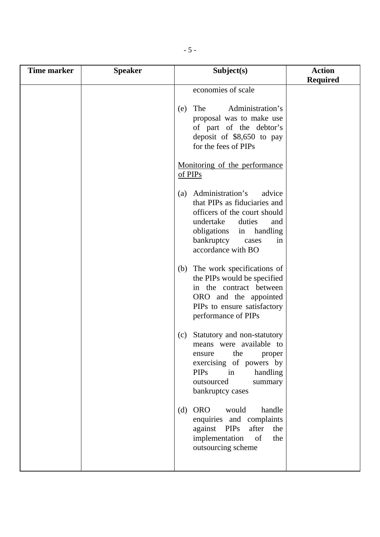| <b>Time marker</b> | <b>Speaker</b> | Subject(s)                                                                                                                                                                                                 | <b>Action</b><br><b>Required</b> |
|--------------------|----------------|------------------------------------------------------------------------------------------------------------------------------------------------------------------------------------------------------------|----------------------------------|
|                    |                | economies of scale                                                                                                                                                                                         |                                  |
|                    |                | Administration's<br>The<br>(e)<br>proposal was to make use<br>of part of the debtor's<br>deposit of \$8,650 to pay<br>for the fees of PIPs                                                                 |                                  |
|                    |                | Monitoring of the performance<br>of PIPs                                                                                                                                                                   |                                  |
|                    |                | (a) Administration's<br>advice<br>that PIPs as fiduciaries and<br>officers of the court should<br>undertake<br>duties<br>and<br>obligations in handling<br>bankruptcy<br>in<br>cases<br>accordance with BO |                                  |
|                    |                | (b) The work specifications of<br>the PIPs would be specified<br>in the contract between<br>ORO and the appointed<br>PIPs to ensure satisfactory<br>performance of PIPs                                    |                                  |
|                    |                | Statutory and non-statutory<br>(c)<br>means were available to<br>the<br>proper<br>ensure<br>exercising of powers by<br>handling<br><b>PIPs</b><br>in<br>outsourced<br>summary<br>bankruptcy cases          |                                  |
|                    |                | <b>ORO</b><br>would<br>handle<br>(d)<br>enquiries and complaints<br>PIPs<br>against<br>after<br>the<br>implementation<br>of<br>the<br>outsourcing scheme                                                   |                                  |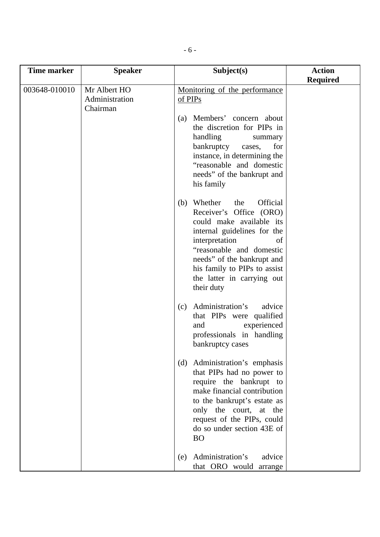| <b>Time marker</b> | <b>Speaker</b>                             | Subject(s)                                                                                                                                                                                                                                                                            | <b>Action</b>   |
|--------------------|--------------------------------------------|---------------------------------------------------------------------------------------------------------------------------------------------------------------------------------------------------------------------------------------------------------------------------------------|-----------------|
| 003648-010010      | Mr Albert HO<br>Administration<br>Chairman | Monitoring of the performance<br>of PIPs<br>Members' concern about<br>(a)<br>the discretion for PIPs in<br>handling<br>summary<br>bankruptcy<br>cases,<br>for<br>instance, in determining the<br>"reasonable and domestic<br>needs" of the bankrupt and<br>his family                 | <b>Required</b> |
|                    |                                            | Official<br>Whether<br>the<br>(b)<br>Receiver's Office (ORO)<br>could make available its<br>internal guidelines for the<br>interpretation<br>of<br>"reasonable and domestic<br>needs" of the bankrupt and<br>his family to PIPs to assist<br>the latter in carrying out<br>their duty |                 |
|                    |                                            | Administration's<br>advice<br>(c)<br>that PIPs were qualified<br>experienced<br>and<br>professionals in handling<br>bankruptcy cases                                                                                                                                                  |                 |
|                    |                                            | (d) Administration's emphasis<br>that PIPs had no power to<br>require the bankrupt to<br>make financial contribution<br>to the bankrupt's estate as<br>only the court, at the<br>request of the PIPs, could<br>do so under section 43E of<br><b>BO</b>                                |                 |
|                    |                                            | Administration's<br>advice<br>(e)<br>that ORO would arrange                                                                                                                                                                                                                           |                 |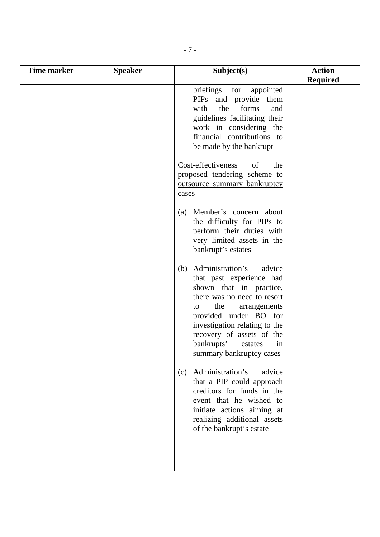| <b>Required</b><br>briefings for appointed<br>PIPs and provide them<br>the forms<br>with<br>and<br>guidelines facilitating their<br>work in considering the<br>financial contributions to<br>be made by the bankrupt<br>Cost-effectiveness<br>of<br>the<br>proposed tendering scheme to<br>outsource summary bankruptcy<br>cases<br>(a) Member's concern about<br>the difficulty for PIPs to<br>perform their duties with<br>very limited assets in the<br>bankrupt's estates<br>(b) Administration's<br>advice<br>that past experience had<br>shown that in practice,<br>there was no need to resort<br>the<br>arrangements<br>to<br>provided under BO for<br>investigation relating to the<br>recovery of assets of the<br>bankrupts'<br>in<br>estates<br>summary bankruptcy cases<br>Administration's<br>advice<br>(c)<br>that a PIP could approach<br>creditors for funds in the<br>event that he wished to<br>initiate actions aiming at<br>realizing additional assets<br>of the bankrupt's estate |
|----------------------------------------------------------------------------------------------------------------------------------------------------------------------------------------------------------------------------------------------------------------------------------------------------------------------------------------------------------------------------------------------------------------------------------------------------------------------------------------------------------------------------------------------------------------------------------------------------------------------------------------------------------------------------------------------------------------------------------------------------------------------------------------------------------------------------------------------------------------------------------------------------------------------------------------------------------------------------------------------------------|
|                                                                                                                                                                                                                                                                                                                                                                                                                                                                                                                                                                                                                                                                                                                                                                                                                                                                                                                                                                                                          |
|                                                                                                                                                                                                                                                                                                                                                                                                                                                                                                                                                                                                                                                                                                                                                                                                                                                                                                                                                                                                          |
|                                                                                                                                                                                                                                                                                                                                                                                                                                                                                                                                                                                                                                                                                                                                                                                                                                                                                                                                                                                                          |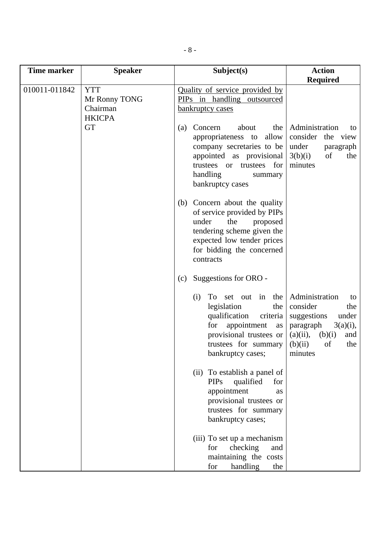| <b>Time marker</b> | <b>Speaker</b>                                           | Subject(s)                                                                                                                                                                                                    | <b>Action</b><br><b>Required</b>                                                                                                                               |
|--------------------|----------------------------------------------------------|---------------------------------------------------------------------------------------------------------------------------------------------------------------------------------------------------------------|----------------------------------------------------------------------------------------------------------------------------------------------------------------|
| 010011-011842      | <b>YTT</b><br>Mr Ronny TONG<br>Chairman<br><b>HKICPA</b> | Quality of service provided by<br>PIPs in handling outsourced<br>bankruptcy cases                                                                                                                             |                                                                                                                                                                |
|                    | <b>GT</b>                                                | about<br>Concern<br>the<br>(a)<br>allow<br>appropriateness to<br>company secretaries to be<br>appointed as provisional<br>for<br>trustees<br>trustees<br><b>or</b><br>handling<br>summary<br>bankruptcy cases | Administration<br>to<br>consider<br>the view<br>under<br>paragraph<br>of<br>3(b)(i)<br>the<br>minutes                                                          |
|                    |                                                          | Concern about the quality<br>(b)<br>of service provided by PIPs<br>under<br>the<br>proposed<br>tendering scheme given the<br>expected low tender prices<br>for bidding the concerned<br>contracts             |                                                                                                                                                                |
|                    |                                                          | Suggestions for ORO -<br>(c)                                                                                                                                                                                  |                                                                                                                                                                |
|                    |                                                          | To set out in the<br>(i)<br>legislation<br>the<br>qualification<br>criteria<br>appointment<br>for<br>as<br>provisional trustees or<br>trustees for summary<br>bankruptcy cases;                               | Administration<br>to<br>consider<br>the<br>suggestions<br>under<br>$3(a)(i)$ ,<br>paragraph<br>$(a)(ii)$ ,<br>(b)(i)<br>and<br>(b)(ii)<br>of<br>the<br>minutes |
|                    |                                                          | (ii) To establish a panel of<br><b>PIPs</b><br>qualified<br>for<br>appointment<br>as<br>provisional trustees or<br>trustees for summary<br>bankruptcy cases;                                                  |                                                                                                                                                                |
|                    |                                                          | (iii) To set up a mechanism<br>checking<br>for<br>and<br>maintaining the costs<br>handling<br>for<br>the                                                                                                      |                                                                                                                                                                |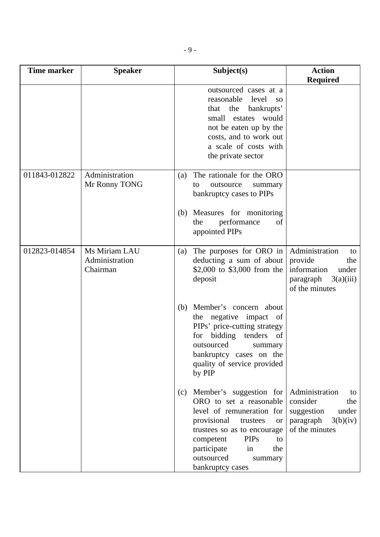| <b>Time marker</b> | <b>Speaker</b>                              | Subject(s)                                                                                                                                                                                                                                                               | <b>Action</b><br><b>Required</b>                                                                           |
|--------------------|---------------------------------------------|--------------------------------------------------------------------------------------------------------------------------------------------------------------------------------------------------------------------------------------------------------------------------|------------------------------------------------------------------------------------------------------------|
|                    |                                             | outsourced cases at a<br>reasonable<br>level<br><b>SO</b><br>that the<br>bankrupts'<br>small estates would<br>not be eaten up by the<br>costs, and to work out<br>a scale of costs with<br>the private sector                                                            |                                                                                                            |
| 011843-012822      | Administration<br>Mr Ronny TONG             | The rationale for the ORO<br>(a)<br>outsource<br>summary<br>to<br>bankruptcy cases to PIPs                                                                                                                                                                               |                                                                                                            |
|                    |                                             | Measures for monitoring<br>(b)<br>performance<br>the<br>of<br>appointed PIPs                                                                                                                                                                                             |                                                                                                            |
| 012823-014854      | Ms Miriam LAU<br>Administration<br>Chairman | The purposes for ORO in<br>(a)<br>deducting a sum of about<br>\$2,000 to \$3,000 from the<br>deposit                                                                                                                                                                     | Administration<br>to<br>provide<br>the<br>information<br>under<br>3(a)(iii)<br>paragraph<br>of the minutes |
|                    |                                             | Member's concern about<br>(b)<br>the negative impact of<br>PIPs' price-cutting strategy<br>for bidding<br>tenders<br>of<br>outsourced<br>summary<br>bankruptcy cases on the<br>quality of service provided<br>by PIP                                                     |                                                                                                            |
|                    |                                             | Member's suggestion for<br>(c)<br>ORO to set a reasonable<br>level of remuneration for<br>provisional<br>trustees<br><b>or</b><br>trustees so as to encourage<br><b>PIPs</b><br>competent<br>to<br>participate<br>in<br>the<br>outsourced<br>summary<br>bankruptcy cases | Administration<br>to<br>consider<br>the<br>suggestion<br>under<br>paragraph<br>3(b)(iv)<br>of the minutes  |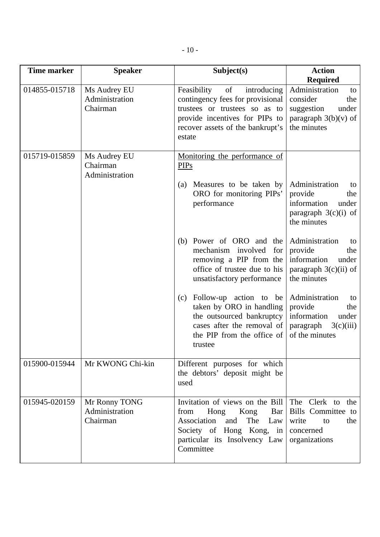| <b>Time marker</b> | <b>Speaker</b>                              | Subject(s)                                                                                                                                                                            | <b>Action</b><br><b>Required</b>                                                                           |
|--------------------|---------------------------------------------|---------------------------------------------------------------------------------------------------------------------------------------------------------------------------------------|------------------------------------------------------------------------------------------------------------|
| 014855-015718      | Ms Audrey EU<br>Administration<br>Chairman  | of<br>Feasibility<br>introducing<br>contingency fees for provisional<br>trustees or trustees so as to<br>provide incentives for PIPs to<br>recover assets of the bankrupt's<br>estate | Administration<br>to<br>consider<br>the<br>suggestion<br>under<br>paragraph $3(b)(v)$ of<br>the minutes    |
| 015719-015859      | Ms Audrey EU<br>Chairman<br>Administration  | Monitoring the performance of<br><b>PIPs</b><br>Measures to be taken by<br>(a)<br>ORO for monitoring PIPs'<br>performance                                                             | Administration<br>to<br>provide<br>the<br>information<br>under<br>paragraph $3(c)(i)$ of<br>the minutes    |
|                    |                                             | Power of ORO and the<br>(b)<br>mechanism involved<br>for<br>removing a PIP from the<br>office of trustee due to his<br>unsatisfactory performance                                     | Administration<br>to<br>provide<br>the<br>information<br>under<br>paragraph $3(c)(ii)$ of<br>the minutes   |
|                    |                                             | Follow-up action to be<br>(c)<br>taken by ORO in handling<br>the outsourced bankruptcy<br>cases after the removal of<br>the PIP from the office of<br>trustee                         | Administration<br>to<br>provide<br>the<br>information<br>under<br>3(c)(iii)<br>paragraph<br>of the minutes |
| 015900-015944      | Mr KWONG Chi-kin                            | Different purposes for which<br>the debtors' deposit might be<br>used                                                                                                                 |                                                                                                            |
| 015945-020159      | Mr Ronny TONG<br>Administration<br>Chairman | Invitation of views on the Bill<br>Hong Kong<br>Bar<br>from<br>Association<br>The<br>and<br>Law<br>Society of Hong Kong, in<br>particular its Insolvency Law<br>Committee             | The Clerk to the<br>Bills Committee to<br>write<br>to<br>the<br>concerned<br>organizations                 |